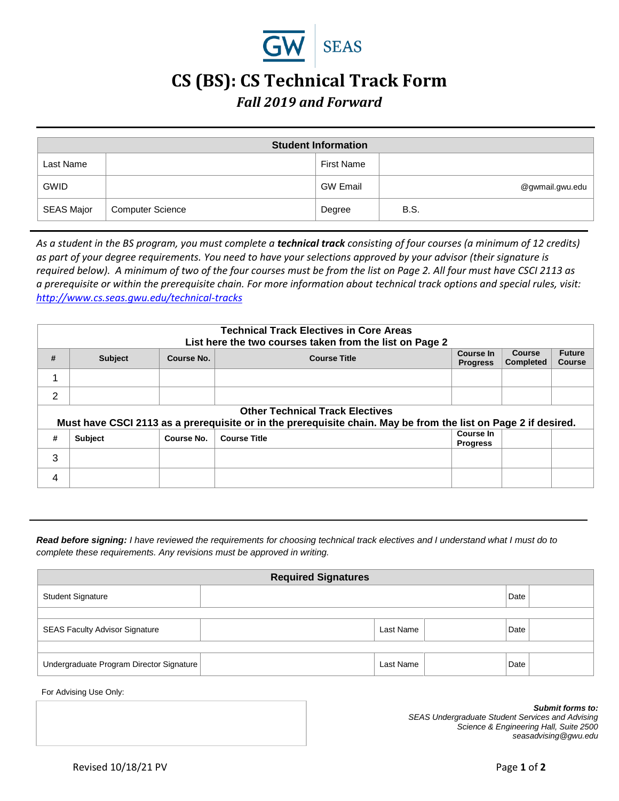

## **CS (BS): CS Technical Track Form**

## *Fall 2019 and Forward*

| <b>Student Information</b> |                         |                   |                 |  |
|----------------------------|-------------------------|-------------------|-----------------|--|
| Last Name                  |                         | <b>First Name</b> |                 |  |
| <b>GWID</b>                |                         | <b>GW Email</b>   | @gwmail.gwu.edu |  |
| SEAS Major                 | <b>Computer Science</b> | Degree            | B.S.            |  |

*As a student in the BS program, you must complete a technical track consisting of four courses (a minimum of 12 credits) as part of your degree requirements. You need to have your selections approved by your advisor (their signature is required below). A minimum of two of the four courses must be from the list on Page 2. All four must have CSCI 2113 as a prerequisite or within the prerequisite chain. For more information about technical track options and special rules, visit: <http://www.cs.seas.gwu.edu/technical-tracks>*

|                | <b>Technical Track Electives in Core Areas</b><br>List here the two courses taken from the list on Page 2                                                |            |                     |                                     |                                   |                                |
|----------------|----------------------------------------------------------------------------------------------------------------------------------------------------------|------------|---------------------|-------------------------------------|-----------------------------------|--------------------------------|
| #              | <b>Subject</b>                                                                                                                                           | Course No. | <b>Course Title</b> | <b>Course In</b><br><b>Progress</b> | <b>Course</b><br><b>Completed</b> | <b>Future</b><br><b>Course</b> |
| 1              |                                                                                                                                                          |            |                     |                                     |                                   |                                |
| 2              |                                                                                                                                                          |            |                     |                                     |                                   |                                |
|                | <b>Other Technical Track Electives</b><br>Must have CSCI 2113 as a prerequisite or in the prerequisite chain. May be from the list on Page 2 if desired. |            |                     |                                     |                                   |                                |
| #              | <b>Subject</b>                                                                                                                                           | Course No. | <b>Course Title</b> | Course In<br><b>Progress</b>        |                                   |                                |
| 3              |                                                                                                                                                          |            |                     |                                     |                                   |                                |
| $\overline{4}$ |                                                                                                                                                          |            |                     |                                     |                                   |                                |

*Read before signing: I have reviewed the requirements for choosing technical track electives and I understand what I must do to complete these requirements. Any revisions must be approved in writing.*

| <b>Required Signatures</b>               |  |           |  |      |  |
|------------------------------------------|--|-----------|--|------|--|
| <b>Student Signature</b>                 |  | Date      |  |      |  |
|                                          |  |           |  |      |  |
| <b>SEAS Faculty Advisor Signature</b>    |  | Last Name |  | Date |  |
|                                          |  |           |  |      |  |
| Undergraduate Program Director Signature |  | Last Name |  | Date |  |

For Advising Use Only:

*Submit forms to: SEAS Undergraduate Student Services and Advising Science & Engineering Hall, Suite 2500 seasadvising@gwu.edu*